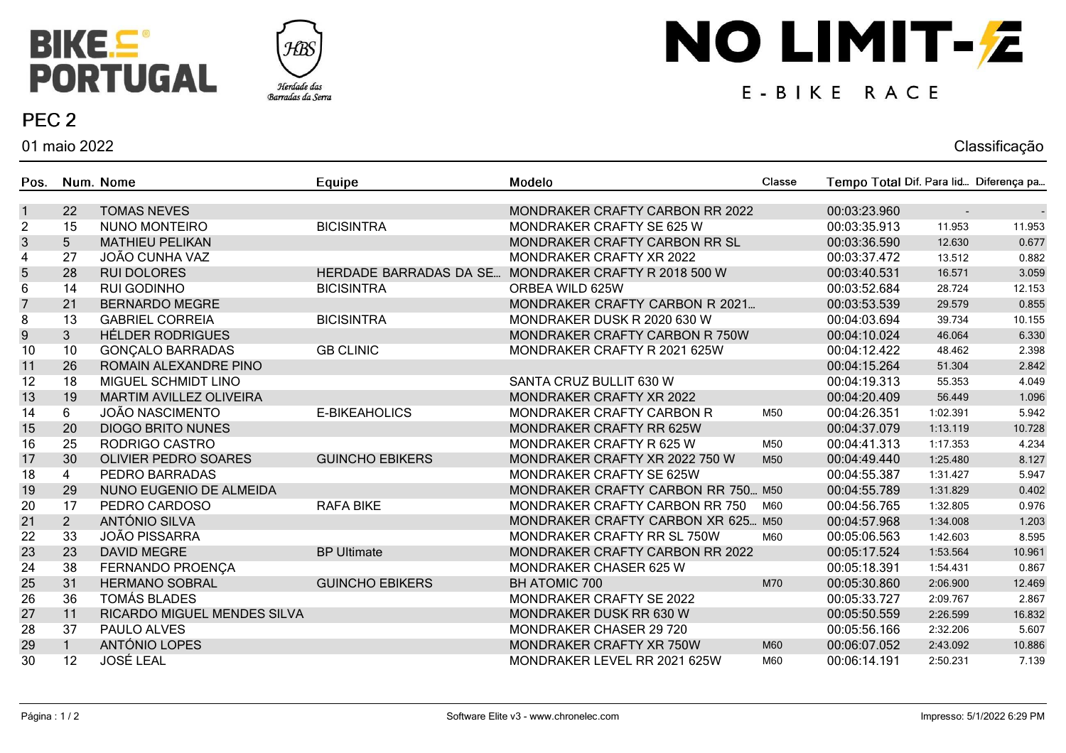



#### PEC<sub>2</sub>

01 maio 2022

# NO LIMIT-Z

#### E-BIKE RACE

# Classificação

| Pos.                      |                | Num. Nome                      | Equipe                 | Modelo                             | Classe | Tempo Total Dif. Para lid Diferença pa |          |        |
|---------------------------|----------------|--------------------------------|------------------------|------------------------------------|--------|----------------------------------------|----------|--------|
| $\mathbf{1}$              | 22             | <b>TOMAS NEVES</b>             |                        | MONDRAKER CRAFTY CARBON RR 2022    |        | 00:03:23.960                           |          |        |
| $\overline{2}$            | 15             | <b>NUNO MONTEIRO</b>           | <b>BICISINTRA</b>      | MONDRAKER CRAFTY SE 625 W          |        | 00:03:35.913                           | 11.953   | 11.953 |
| $\ensuremath{\mathsf{3}}$ | 5              | <b>MATHIEU PELIKAN</b>         |                        | MONDRAKER CRAFTY CARBON RR SL      |        | 00:03:36.590                           | 12.630   | 0.677  |
| $\overline{\mathbf{4}}$   | 27             | JOÃO CUNHA VAZ                 |                        | MONDRAKER CRAFTY XR 2022           |        | 00:03:37.472                           | 13.512   | 0.882  |
| 5                         | 28             | <b>RUI DOLORES</b>             | HERDADE BARRADAS DA SE | MONDRAKER CRAFTY R 2018 500 W      |        | 00:03:40.531                           | 16.571   | 3.059  |
| 6                         | 14             | <b>RUI GODINHO</b>             | <b>BICISINTRA</b>      | ORBEA WILD 625W                    |        | 00:03:52.684                           | 28.724   | 12.153 |
| $\overline{7}$            | 21             | <b>BERNARDO MEGRE</b>          |                        | MONDRAKER CRAFTY CARBON R 2021     |        | 00:03:53.539                           | 29.579   | 0.855  |
| $\bf 8$                   | 13             | <b>GABRIEL CORREIA</b>         | <b>BICISINTRA</b>      | MONDRAKER DUSK R 2020 630 W        |        | 00:04:03.694                           | 39.734   | 10.155 |
| $\boldsymbol{9}$          | 3 <sup>1</sup> | <b>HÉLDER RODRIGUES</b>        |                        | MONDRAKER CRAFTY CARBON R 750W     |        | 00:04:10.024                           | 46.064   | 6.330  |
| 10                        | 10             | <b>GONÇALO BARRADAS</b>        | <b>GB CLINIC</b>       | MONDRAKER CRAFTY R 2021 625W       |        | 00:04:12.422                           | 48.462   | 2.398  |
| 11                        | 26             | ROMAIN ALEXANDRE PINO          |                        |                                    |        | 00:04:15.264                           | 51.304   | 2.842  |
| 12                        | 18             | MIGUEL SCHMIDT LINO            |                        | SANTA CRUZ BULLIT 630 W            |        | 00:04:19.313                           | 55.353   | 4.049  |
| 13                        | 19             | <b>MARTIM AVILLEZ OLIVEIRA</b> |                        | MONDRAKER CRAFTY XR 2022           |        | 00:04:20.409                           | 56.449   | 1.096  |
| 14                        | 6              | JOÃO NASCIMENTO                | E-BIKEAHOLICS          | MONDRAKER CRAFTY CARBON R          | M50    | 00:04:26.351                           | 1:02.391 | 5.942  |
| 15                        | 20             | <b>DIOGO BRITO NUNES</b>       |                        | MONDRAKER CRAFTY RR 625W           |        | 00:04:37.079                           | 1:13.119 | 10.728 |
| 16                        | 25             | RODRIGO CASTRO                 |                        | MONDRAKER CRAFTY R 625 W           | M50    | 00:04:41.313                           | 1:17.353 | 4.234  |
| 17                        | 30             | <b>OLIVIER PEDRO SOARES</b>    | <b>GUINCHO EBIKERS</b> | MONDRAKER CRAFTY XR 2022 750 W     | M50    | 00:04:49.440                           | 1:25.480 | 8.127  |
| 18                        | $\overline{4}$ | PEDRO BARRADAS                 |                        | MONDRAKER CRAFTY SE 625W           |        | 00:04:55.387                           | 1:31.427 | 5.947  |
| 19                        | 29             | NUNO EUGENIO DE ALMEIDA        |                        | MONDRAKER CRAFTY CARBON RR 750 M50 |        | 00:04:55.789                           | 1:31.829 | 0.402  |
| 20                        | 17             | PEDRO CARDOSO                  | <b>RAFA BIKE</b>       | MONDRAKER CRAFTY CARBON RR 750     | M60    | 00:04:56.765                           | 1:32.805 | 0.976  |
| 21                        | 2 <sup>1</sup> | ANTÓNIO SILVA                  |                        | MONDRAKER CRAFTY CARBON XR 625 M50 |        | 00:04:57.968                           | 1:34.008 | 1.203  |
| 22                        | 33             | <b>JOÃO PISSARRA</b>           |                        | MONDRAKER CRAFTY RR SL 750W        | M60    | 00:05:06.563                           | 1:42.603 | 8.595  |
| 23                        | 23             | <b>DAVID MEGRE</b>             | <b>BP Ultimate</b>     | MONDRAKER CRAFTY CARBON RR 2022    |        | 00:05:17.524                           | 1:53.564 | 10.961 |
| 24                        | 38             | FERNANDO PROENÇA               |                        | <b>MONDRAKER CHASER 625 W</b>      |        | 00:05:18.391                           | 1:54.431 | 0.867  |
| 25                        | 31             | <b>HERMANO SOBRAL</b>          | <b>GUINCHO EBIKERS</b> | <b>BH ATOMIC 700</b>               | M70    | 00:05:30.860                           | 2:06.900 | 12.469 |
| 26                        | 36             | <b>TOMÁS BLADES</b>            |                        | MONDRAKER CRAFTY SE 2022           |        | 00:05:33.727                           | 2:09.767 | 2.867  |
| 27                        | 11             | RICARDO MIGUEL MENDES SILVA    |                        | MONDRAKER DUSK RR 630 W            |        | 00:05:50.559                           | 2:26.599 | 16.832 |
| 28                        | 37             | PAULO ALVES                    |                        | MONDRAKER CHASER 29 720            |        | 00:05:56.166                           | 2:32.206 | 5.607  |
| 29                        |                | ANTÓNIO LOPES                  |                        | MONDRAKER CRAFTY XR 750W           | M60    | 00:06:07.052                           | 2:43.092 | 10.886 |
| 30                        | 12             | <b>JOSÉ LEAL</b>               |                        | MONDRAKER LEVEL RR 2021 625W       | M60    | 00:06:14.191                           | 2:50.231 | 7.139  |